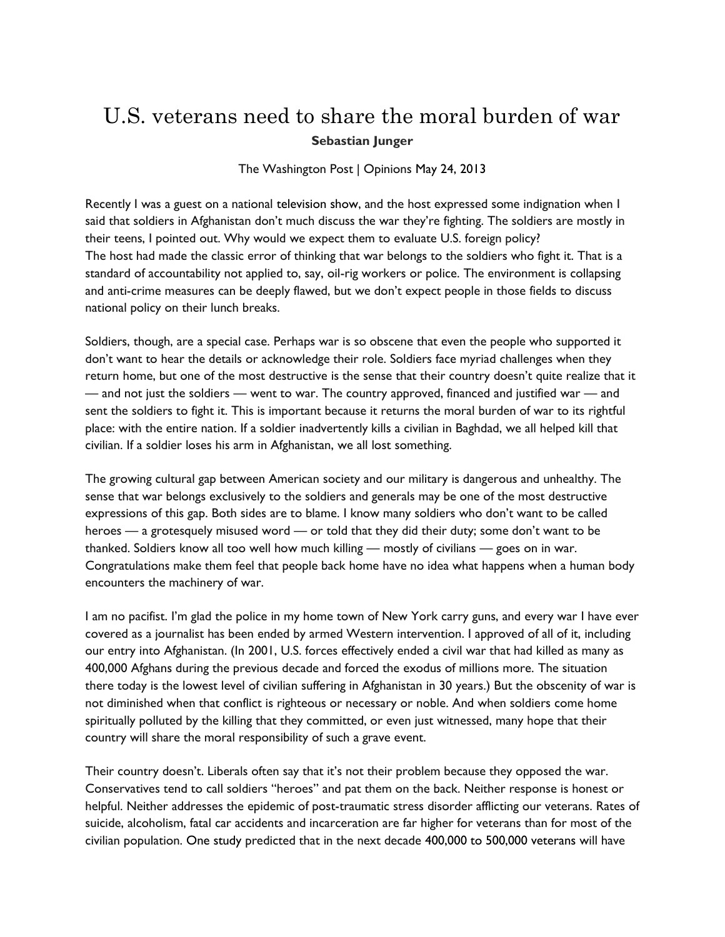## U.S. veterans need to share the moral burden of war **Sebastian Junger**

The Washington Post | Opinions May 24, 2013

Recently I was a guest on a national television show, and the host expressed some indignation when I said that soldiers in Afghanistan don't much discuss the war they're fighting. The soldiers are mostly in their teens, I pointed out. Why would we expect them to evaluate U.S. foreign policy? The host had made the classic error of thinking that war belongs to the soldiers who fight it. That is a standard of accountability not applied to, say, oil-rig workers or police. The environment is collapsing and anti-crime measures can be deeply flawed, but we don't expect people in those fields to discuss national policy on their lunch breaks.

Soldiers, though, are a special case. Perhaps war is so obscene that even the people who supported it don't want to hear the details or acknowledge their role. Soldiers face myriad challenges when they return home, but one of the most destructive is the sense that their country doesn't quite realize that it — and not just the soldiers — went to war. The country approved, financed and justified war — and sent the soldiers to fight it. This is important because it returns the moral burden of war to its rightful place: with the entire nation. If a soldier inadvertently kills a civilian in Baghdad, we all helped kill that civilian. If a soldier loses his arm in Afghanistan, we all lost something.

The growing cultural gap between American society and our military is dangerous and unhealthy. The sense that war belongs exclusively to the soldiers and generals may be one of the most destructive expressions of this gap. Both sides are to blame. I know many soldiers who don't want to be called heroes — a grotesquely misused word — or told that they did their duty; some don't want to be thanked. Soldiers know all too well how much killing — mostly of civilians — goes on in war. Congratulations make them feel that people back home have no idea what happens when a human body encounters the machinery of war.

I am no pacifist. I'm glad the police in my home town of New York carry guns, and every war I have ever covered as a journalist has been ended by armed Western intervention. I approved of all of it, including our entry into Afghanistan. (In 2001, U.S. forces effectively ended a civil war that had killed as many as 400,000 Afghans during the previous decade and forced the exodus of millions more. The situation there today is the lowest level of civilian suffering in Afghanistan in 30 years.) But the obscenity of war is not diminished when that conflict is righteous or necessary or noble. And when soldiers come home spiritually polluted by the killing that they committed, or even just witnessed, many hope that their country will share the moral responsibility of such a grave event.

Their country doesn't. Liberals often say that it's not their problem because they opposed the war. Conservatives tend to call soldiers "heroes" and pat them on the back. Neither response is honest or helpful. Neither addresses the epidemic of post-traumatic stress disorder afflicting our veterans. Rates of suicide, alcoholism, fatal car accidents and incarceration are far higher for veterans than for most of the civilian population. One study predicted that in the next decade 400,000 to 500,000 veterans will have